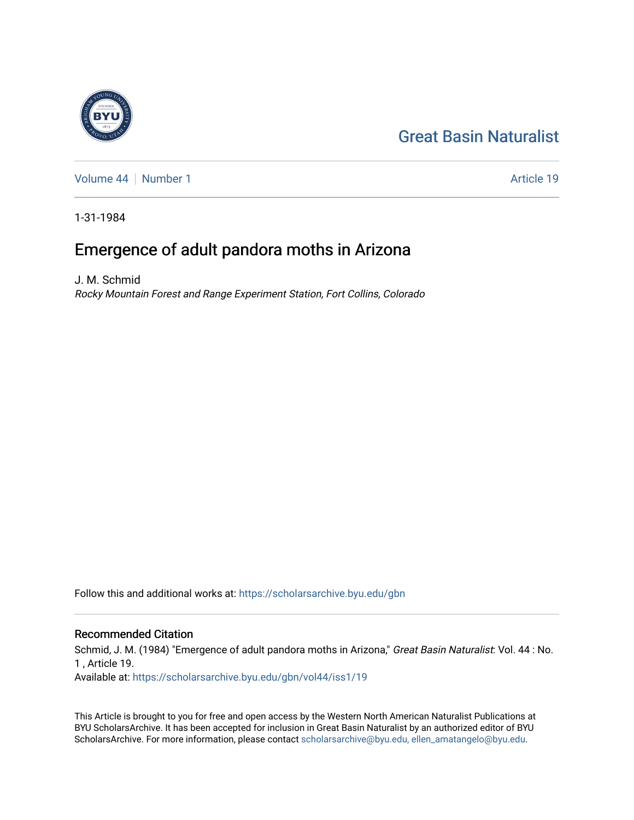# [Great Basin Naturalist](https://scholarsarchive.byu.edu/gbn)

[Volume 44](https://scholarsarchive.byu.edu/gbn/vol44) [Number 1](https://scholarsarchive.byu.edu/gbn/vol44/iss1) Article 19

1-31-1984

## Emergence of adult pandora moths in Arizona

J. M. Schmid Rocky Mountain Forest and Range Experiment Station, Fort Collins, Colorado

Follow this and additional works at: [https://scholarsarchive.byu.edu/gbn](https://scholarsarchive.byu.edu/gbn?utm_source=scholarsarchive.byu.edu%2Fgbn%2Fvol44%2Fiss1%2F19&utm_medium=PDF&utm_campaign=PDFCoverPages) 

## Recommended Citation

Schmid, J. M. (1984) "Emergence of adult pandora moths in Arizona," Great Basin Naturalist: Vol. 44 : No. 1 , Article 19. Available at: [https://scholarsarchive.byu.edu/gbn/vol44/iss1/19](https://scholarsarchive.byu.edu/gbn/vol44/iss1/19?utm_source=scholarsarchive.byu.edu%2Fgbn%2Fvol44%2Fiss1%2F19&utm_medium=PDF&utm_campaign=PDFCoverPages) 

This Article is brought to you for free and open access by the Western North American Naturalist Publications at BYU ScholarsArchive. It has been accepted for inclusion in Great Basin Naturalist by an authorized editor of BYU ScholarsArchive. For more information, please contact [scholarsarchive@byu.edu, ellen\\_amatangelo@byu.edu.](mailto:scholarsarchive@byu.edu,%20ellen_amatangelo@byu.edu)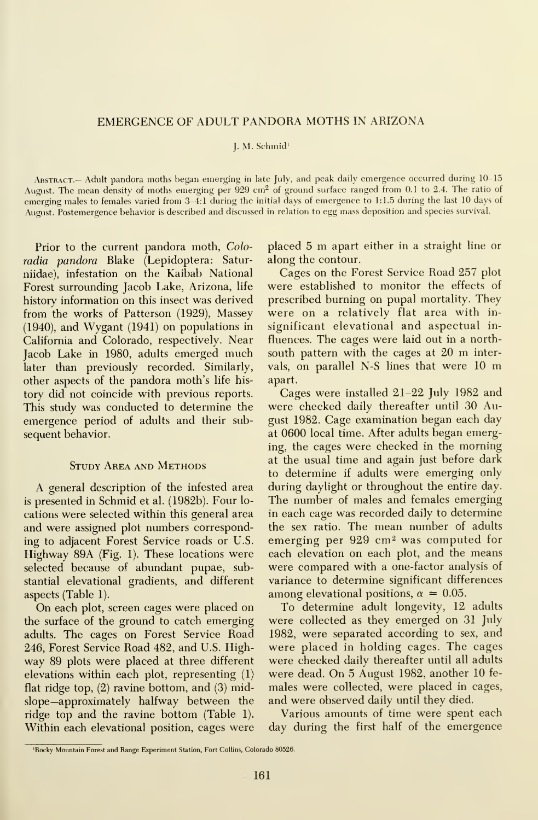## EMERGENCE OF ADULT PANDORA MOTHS IN ARIZONA

#### J. M. Schmid'

ABSTRACT.— Adult pandora moths began emerging in late July, and peak daily emergence occurred during 10-15 August. The mean density of moths emerging per 929 cm<sup>2</sup> of ground surface ranged from 0.1 to 2.4. The ratio of emerging males to females varied from 3-4:1 during the initial days of emergence to 1:1.5 during the last 10 days of August. Postemergence behavior is described and discussed in relation to egg mass deposition and species survival.

Prior to the current pandora moth, Coloradia pandora Blake (Lepidoptera: Saturniidae), infestation on the Kaibab National Forest surrounding Jacob Lake, Arizona, life history information on this insect was derived from the works of Patterson (1929), Massey (1940), and Wygant (1941) on populations in California and Colorado, respectively. Near Jacob Lake in 1980, adults emerged much later than previously recorded. Similarly, other aspects of the pandora moth's life his tory did not coincide with previous reports. This study was conducted to determine the emergence period of adults and their sub sequent behavior.

## Study Area and Methods

A general description of the infested area is presented in Schmid et al. (1982b). Four lo cations were selected within this general area and were assigned plot numbers corresponding to adjacent Forest Service roads or U.S. Highway 89A (Fig. 1). These locations were selected because of abundant pupae, substantial elevational gradients, and different aspects (Table 1).

On each plot, screen cages were placed on the surface of the ground to catch emerging adults. The cages on Forest Service Road 246, Forest Service Road 482, and U.S. Highway 89 plots were placed at three different elevations within each plot, representing (1) flat ridge top, (2) ravine bottom, and (3) midslope—approximately halfway between the ridge top and the ravine bottom (Table 1). Within each elevational position, cages were

placed <sup>5</sup> m apart either in <sup>a</sup> straight line or along the contour.

Cages on the Forest Service Road 257 plot were established to monitor the effects of prescribed burning on pupal mortality. They were on a relatively flat area with in significant elevational and aspectual in fluences. The cages were laid out in a northsouth pattern with the cages at <sup>20</sup> m intervals, on parallel N-S lines that were <sup>10</sup> m apart.

Cages were installed 21-22 July 1982 and were checked daily thereafter until 30 August 1982. Cage examination began each day at 0600 local time. After adults began emerging, the cages were checked in the morning at the usual time and again just before dark to determine if adults were emerging only during daylight or throughout the entire day. The number of males and females emerging in each cage was recorded daily to determine the sex ratio. The mean number of adults emerging per 929 cm<sup>2</sup> was computed for each elevation on each plot, and the means were compared with a one-factor analysis of variance to determine significant differences among elevational positions,  $\alpha = 0.05$ .

To determine adult longevity, 12 adults were collected as they emerged on 31 July 1982, were separated according to sex, and were placed in holding cages. The cages were checked daily thereafter until all adults were dead. On 5 August 1982, another 10 fe males were collected, were placed in cages, and were observed daily until they died.

Various amounts of time were spent each day during the first half of the emergence

<sup>&#</sup>x27;Rocky Mountain Forest and Range Experiment Station, Fort Collins, Colorado 80526.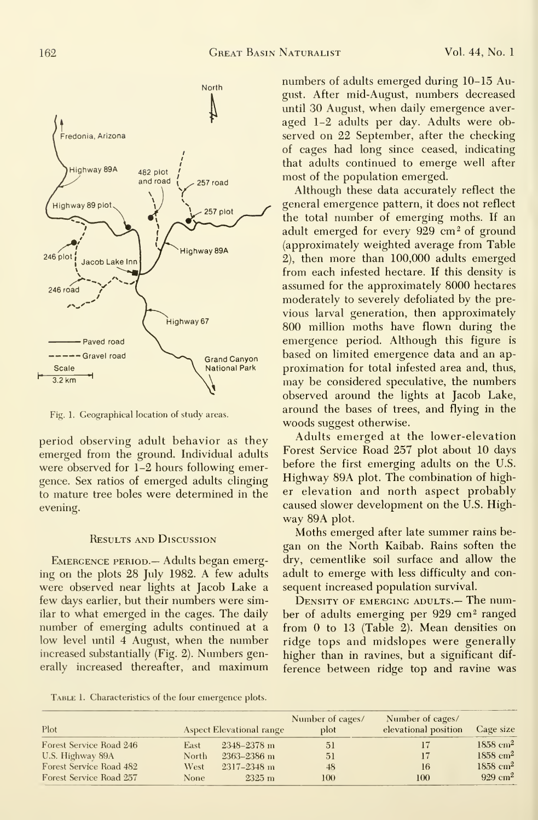

Fig. 1. Geographical location of study areas.

period observing adult behavior as they emerged from the ground. Individual adults were observed for 1-2 hours following emergence. Sex ratios of emerged adults clinging to mature tree boles were determined in the evening.

### Results and Discussion

EMERGENCE PERIOD. - Adults began emerging on the plots 28 July 1982. A few adults were observed near lights at Jacob Lake a few days earlier, but their numbers were similar to what emerged in the cages. The daily number of emerging adults continued at a low level until 4 August, when the number increased substantially (Fig. 2). Numbers generally increased thereafter, and maximum numbers of adults emerged during 10-15 August. After mid-August, numbers decreased until 30 August, when daily emergence aver aged 1-2 adults per day. Adults were observed on 22 September, after the checking of cages had long since ceased, indicating that adults continued to emerge well after most of the population emerged.

Although these data accurately reflect the general emergence pattern, it does not reflect the total number of emerging moths. If an adult emerged for every 929 cm<sup>2</sup> of ground (approximately weighted average from Table 2), then more than 100,000 adults emerged from each infested hectare. If this density is assumed for the approximately 8000 hectares moderately to severely defoliated by the pre vious larval generation, then approximately 800 million moths have flown during the emergence period. Although this figure is based on limited emergence data and an ap proximation for total infested area and, thus, may be considered speculative, the numbers observed around the lights at Jacob Lake, around the bases of trees, and flying in the woods suggest otherwise.

Adults emerged at the lower-elevation Forest Service Road 257 plot about 10 days before the first emerging adults on the U.S. Highway 89A plot. The combination of higher elevation and north aspect probably caused slower development on the U.S. Highway 89A plot.

Moths emerged after late summer rains began on the North Kaibab. Rains soften the dry, cementlike soil surface and allow the adult to emerge with less difficulty and con sequent increased population survival.

DENSITY OF EMERGING ADULTS.— The number of adults emerging per 929 cm<sup>2</sup> ranged from  $0$  to  $13$  (Table 2). Mean densities on ridge tops and midslopes were generally higher than in ravines, but a significant dif ference between ridge top and ravine was

TABLE 1. Characteristics of the four emergence plots.

| Plot                    |        | Aspect Elevational range | Number of cages/<br>plot | Number of cages/<br>elevational position | Cage size              |
|-------------------------|--------|--------------------------|--------------------------|------------------------------------------|------------------------|
| Forest Service Road 246 | East   | $2348 - 2378$ m          | 51                       | 17                                       | $1858$ cm <sup>2</sup> |
| U.S. Highway 89A        | North. | 2363-2386 m              | 51                       | 17                                       | $1858 \text{ cm}^2$    |
| Forest Service Road 482 | West   | 2317-2348 m              | 48                       | 16                                       | $1858$ cm <sup>2</sup> |
| Forest Service Road 257 | None   | $2325 \; \mathrm{m}$     | 100.                     | 100                                      | $929 \text{ cm}^2$     |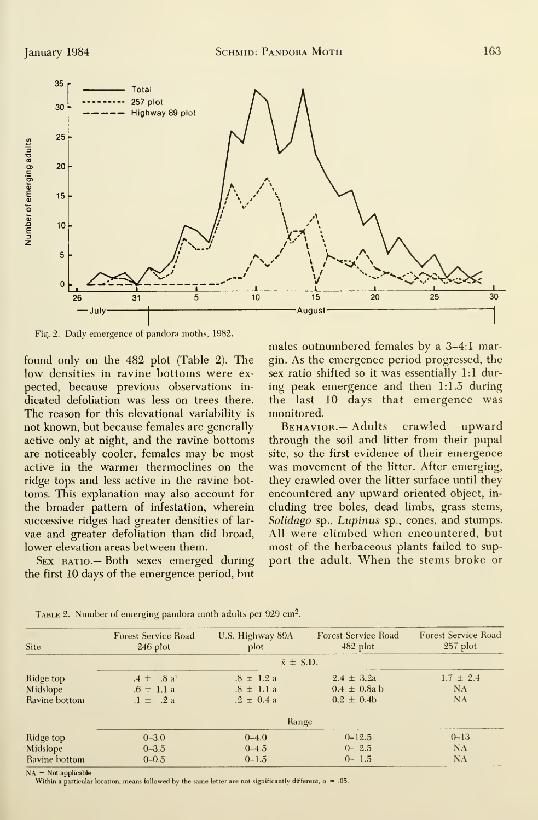

Fig. 2. Daily emergence of pandora moths, 1982.

found only on the 482 plot (Table 2). The low densities in ravine bottoms were ex pected, because previous observations in dicated defoliation was less on trees there. The reason for this elevational variability is not known, but because females are generally active only at night, and the ravine bottoms are noticeably cooler, females may be most active in the warmer thermoclines on the ridge tops and less active in the ravine bot toms. This explanation may also account for the broader pattern of infestation, wherein successive ridges had greater densities of lar vae and greater defoliation than did broad, lower elevation areas between them.

SEX RATIO. - Both sexes emerged during the first 10 days of the emergence period, but males outnumbered females by a 3-4:1 margin. As the emergence period progressed, the sex ratio shifted so it was essentially 1:1 during peak emergence and then 1:1.5 during the last 10 days that emergence was monitored.

BEHAVIOR. - Adults crawled upward through the soil and litter from their pupal site, so the first evidence of their emergence was movement of the litter. After emerging, they crawled over the litter surface until they encountered any upward oriented object, in cluding tree boles, dead limbs, grass stems, Solidago sp., Lupinus sp., cones, and stumps. All were climbed when encountered, but most of the herbaceous plants failed to sup port the adult. When the stems broke or

| Site          | <b>Forest Service Road</b><br>$246$ plot | U.S. Highway 89A<br>plot | <b>Forest Service Road</b><br>$482$ plot | <b>Forest Service Road</b><br>$257$ plot |  |  |  |
|---------------|------------------------------------------|--------------------------|------------------------------------------|------------------------------------------|--|--|--|
|               | $\bar{x} \pm$ S.D.                       |                          |                                          |                                          |  |  |  |
| Ridge top     | $.4 \pm .8$ a <sup>1</sup>               | $.8 \pm 1.2 a$           | $2.4 \pm 3.2a$                           | $1.7 \pm 2.4$                            |  |  |  |
| Midslope      | $.6 \pm 1.1 a$                           | $.8 \pm 1.1 a$           | $0.4 \pm 0.8$ a b                        | NA                                       |  |  |  |
| Ravine bottom | $.1 \pm .2a$                             | $.2 \pm 0.4 a$           | $0.2 \pm 0.4b$                           | <b>NA</b>                                |  |  |  |
|               |                                          | Range                    |                                          |                                          |  |  |  |
| Ridge top     | $0 - 3.0$                                | $0 - 4.0$                | $0 - 12.5$                               | $0 - 13$                                 |  |  |  |
| Midslope      | $0 - 3.5$                                | $0 - 4.5$                | $0 - 2.5$                                | NA                                       |  |  |  |
| Ravine bottom | $0 - 0.5$                                | $0 - 1.5$                | $0 - 1.5$                                | NA                                       |  |  |  |

TABLE 2. Number of emerging pandora moth adults per 929 cm<sup>2</sup>.

 $NA = Not applicable$ 

Within a particular location, means followed by the same letter are not significantly different,  $\alpha = .05$ .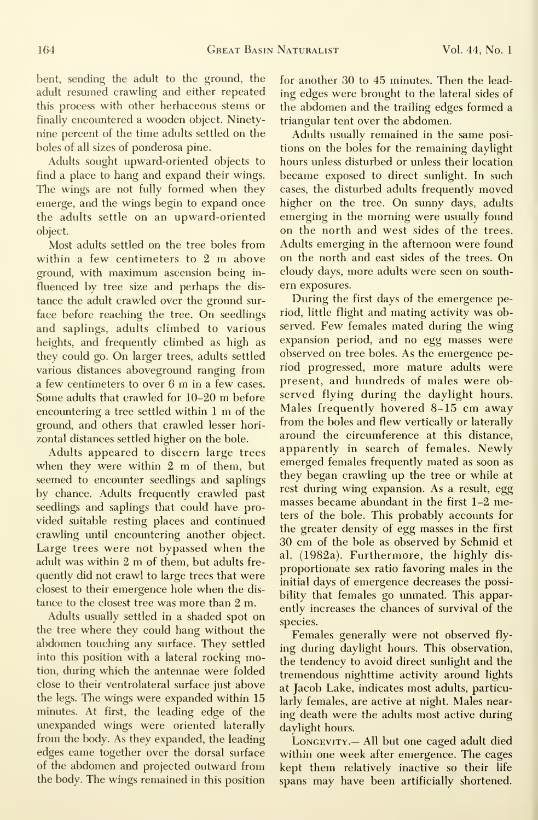bent, sending the adult to the ground, the adult resumed crawling and either repeated this process with other herbaceous stems or finally encountered a wooden object. Ninetynine percent of the time adults settled on the boles of all sizes of ponderosa pine.

Adults sought upward-oriented objects to find a place to hang and expand their wings. The wings are not fully formed when they emerge, and the wings begin to expand once the adults settle on an upward-oriented object.

Most adults settled on the tree boles from within <sup>a</sup> few centimeters to <sup>2</sup> m above ground, with maximum ascension being in fluenced by tree size and perhaps the dis tance the adult crawled over the ground sur face before reaching the tree. On seedlings and saplings, adults climbed to various heights, and frequently climbed as high as they could go. On larger trees, adults settled various distances aboveground ranging from <sup>a</sup> few centimeters to over <sup>6</sup> m in <sup>a</sup> few cases. Some adults that crawled for 10-20 m before encountering <sup>a</sup> tree settled within <sup>1</sup> m of the ground, and others that crawled lesser hori zontal distances settled higher on the bole.

Adults appeared to discern large trees when they were within <sup>2</sup> m of them, but seemed to encounter seedlings and saplings by chance. Adults frequently crawled past seedlings and saplings that could have pro vided suitable resting places and continued crawling until encountering another object. Large trees were not bypassed when the adult was within <sup>2</sup> m of them, but adults fre quently did not crawl to large trees that were closest to their emergence hole when the dis tance to the closest tree was more than 2 m.

Adults usually settled in a shaded spot on the tree where they could hang without the abdomen touching any surface. They settled into this position with a lateral rocking motion, during which the antennae were folded close to their ventrolateral surface just above the legs. The wings were expanded within 15 minutes. At first, the leading edge of the unexpanded wings were oriented laterally from the body. As they expanded, the leading edges came together over the dorsal surface of the abdomen and projected outward from the body. The wings remained in this position

for another 30 to 45 minutes. Then the lead ing edges were brought to the lateral sides of the abdomen and the trailing edges formed a triangular tent over the abdomen.

Adults usually remained in the same posi tions on the boles for the remaining daylight hours unless disturbed or unless their location became exposed to direct sunlight. In such cases, the disturbed adults frequently moved higher on the tree. On sunny days, adults emerging in the morning were usually found on the north and west sides of the trees. Adults emerging in the afternoon were found on the north and east sides of the trees. On cloudy days, more adults were seen on south ern exposures.

During the first days of the emergence period, little flight and mating activity was observed. Few females mated during the wing expansion period, and no egg masses were observed on tree boles. As the emergence period progressed, more mature adults were present, and hundreds of males were observed flying during the daylight hours. Males frequently hovered 8-15 cm away from the boles and flew vertically or laterally around the circumference at this distance, apparently in search of females. Newly emerged females frequently mated as soon as they began crawling up the tree or while at rest during wing expansion. As a result, egg masses became abundant in the first 1-2 meters of the bole. This probably accounts for the greater density of egg masses in the first 30 cm of the bole as observed by Schmid et al. (1982a). Furthermore, the highly dis proportionate sex ratio favoring males in the initial days of emergence decreases the possibility that females go unmated. This apparently increases the chances of survival of the species.

Females generally were not observed fly ing during daylight hours. This observation, the tendency to avoid direct sunlight and the tremendous nighttime activity around lights at Jacob Lake, indicates most adults, particularly females, are active at night. Males nearing death were the adults most active during daylight hours.

LONGEVITY.- All but one caged adult died within one week after emergence. The cages kept them relatively inactive so their life spans may have been artificially shortened.